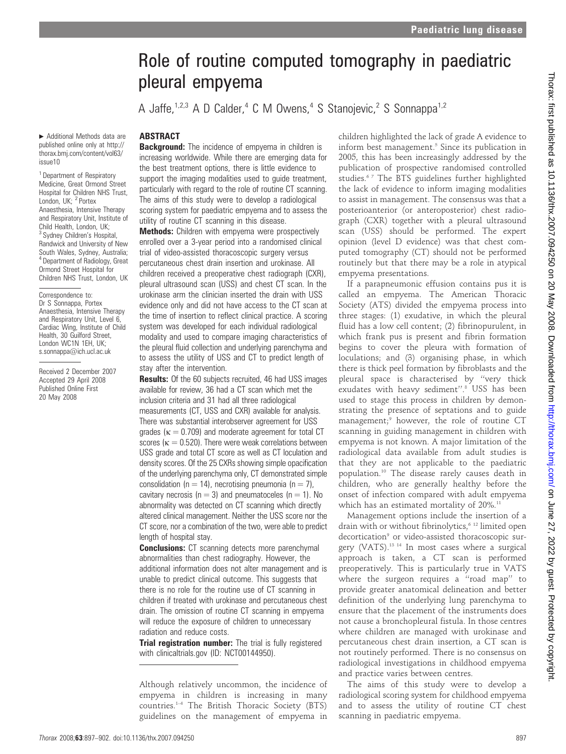# Role of routine computed tomography in paediatric pleural empyema

A Jaffe,<sup>1,2,3</sup> A D Calder,<sup>4</sup> C M Owens,<sup>4</sup> S Stanojevic,<sup>2</sup> S Sonnappa<sup>1,2</sup>

#### ABSTRACT

**Background:** The incidence of empyema in children is increasing worldwide. While there are emerging data for the best treatment options, there is little evidence to support the imaging modalities used to quide treatment. particularly with regard to the role of routine CT scanning. The aims of this study were to develop a radiological scoring system for paediatric empyema and to assess the utility of routine CT scanning in this disease.

**Methods:** Children with empyema were prospectively enrolled over a 3-year period into a randomised clinical trial of video-assisted thoracoscopic surgery versus percutaneous chest drain insertion and urokinase. All children received a preoperative chest radiograph (CXR), pleural ultrasound scan (USS) and chest CT scan. In the urokinase arm the clinician inserted the drain with USS evidence only and did not have access to the CT scan at the time of insertion to reflect clinical practice. A scoring system was developed for each individual radiological modality and used to compare imaging characteristics of the pleural fluid collection and underlying parenchyma and to assess the utility of USS and CT to predict length of stay after the intervention.

**Results:** Of the 60 subjects recruited, 46 had USS images available for review, 36 had a CT scan which met the inclusion criteria and 31 had all three radiological measurements (CT, USS and CXR) available for analysis. There was substantial interobserver agreement for USS grades ( $\kappa = 0.709$ ) and moderate agreement for total CT scores ( $\kappa = 0.520$ ). There were weak correlations between USS grade and total CT score as well as CT loculation and density scores. Of the 25 CXRs showing simple opacification of the underlying parenchyma only, CT demonstrated simple consolidation ( $n = 14$ ), necrotising pneumonia ( $n = 7$ ), cavitary necrosis ( $n = 3$ ) and pneumatoceles ( $n = 1$ ). No abnormality was detected on CT scanning which directly altered clinical management. Neither the USS score nor the CT score, nor a combination of the two, were able to predict length of hospital stay.

**Conclusions:** CT scanning detects more parenchymal abnormalities than chest radiography. However, the additional information does not alter management and is unable to predict clinical outcome. This suggests that there is no role for the routine use of CT scanning in children if treated with urokinase and percutaneous chest drain. The omission of routine CT scanning in empyema will reduce the exposure of children to unnecessary radiation and reduce costs.

Trial registration number: The trial is fully registered with clinicaltrials.gov (ID: NCT00144950).

Although relatively uncommon, the incidence of empyema in children is increasing in many countries.1–4 The British Thoracic Society (BTS) guidelines on the management of empyema in children highlighted the lack of grade A evidence to inform best management.<sup>5</sup> Since its publication in 2005, this has been increasingly addressed by the publication of prospective randomised controlled studies.<sup>67</sup> The BTS guidelines further highlighted the lack of evidence to inform imaging modalities to assist in management. The consensus was that a posterioanterior (or anteroposterior) chest radiograph (CXR) together with a pleural ultrasound scan (USS) should be performed. The expert opinion (level D evidence) was that chest computed tomography (CT) should not be performed routinely but that there may be a role in atypical empyema presentations.

If a parapneumonic effusion contains pus it is called an empyema. The American Thoracic Society (ATS) divided the empyema process into three stages: (1) exudative, in which the pleural fluid has a low cell content; (2) fibrinopurulent, in which frank pus is present and fibrin formation begins to cover the pleura with formation of loculations; and (3) organising phase, in which there is thick peel formation by fibroblasts and the pleural space is characterised by ''very thick exudates with heavy sediment".<sup>8</sup> USS has been used to stage this process in children by demonstrating the presence of septations and to guide management;<sup>9</sup> however, the role of routine CT scanning in guiding management in children with empyema is not known. A major limitation of the radiological data available from adult studies is that they are not applicable to the paediatric population.10 The disease rarely causes death in children, who are generally healthy before the onset of infection compared with adult empyema which has an estimated mortality of 20%.<sup>11</sup>

Management options include the insertion of a drain with or without fibrinolytics,<sup>6 12</sup> limited open decortication<sup>9</sup> or video-assisted thoracoscopic surgery (VATS).13 14 In most cases where a surgical approach is taken, a CT scan is performed preoperatively. This is particularly true in VATS where the surgeon requires a "road map" to provide greater anatomical delineation and better definition of the underlying lung parenchyma to ensure that the placement of the instruments does not cause a bronchopleural fistula. In those centres where children are managed with urokinase and percutaneous chest drain insertion, a CT scan is not routinely performed. There is no consensus on radiological investigations in childhood empyema and practice varies between centres.

The aims of this study were to develop a radiological scoring system for childhood empyema and to assess the utility of routine CT chest scanning in paediatric empyema.

# Ormond Street Hospital for Children NHS Trust, London, UK Correspondence to: Dr S Sonnappa, Portex

Additional Methods data are published online only at http:// thorax.bmj.com/content/vol63/

<sup>1</sup> Department of Respiratory Medicine, Great Ormond Street Hospital for Children NHS Trust, London, UK; <sup>2</sup> Portex Anaesthesia, Intensive Therapy and Respiratory Unit, Institute of Child Health, London, UK; <sup>3</sup> Sydney Children's Hospital, Randwick and University of New South Wales, Sydney, Australia; <sup>4</sup> Department of Radiology, Great

issue10

Anaesthesia, Intensive Therapy and Respiratory Unit, Level 6, Cardiac Wing, Institute of Child Health, 30 Guilford Street, London WC1N 1EH, UK; s.sonnappa@ich.ucl.ac.uk

Received 2 December 2007 Accepted 29 April 2008 Published Online First 20 May 2008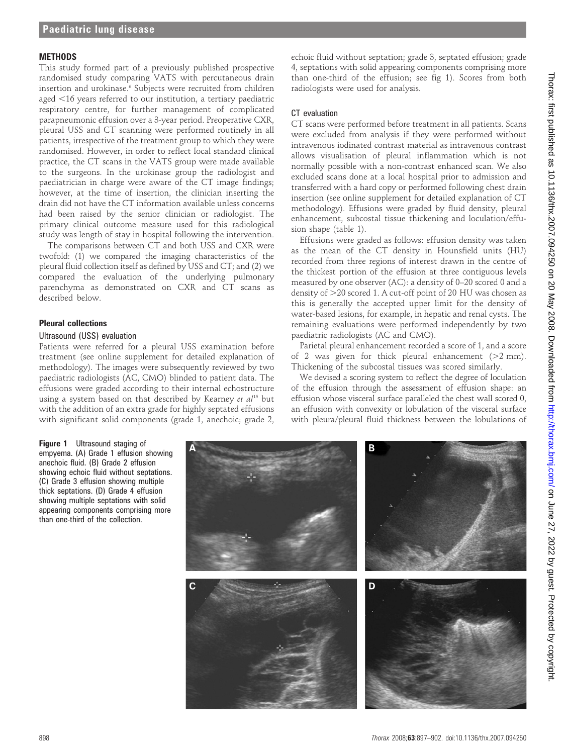#### **MFTHODS**

This study formed part of a previously published prospective randomised study comparing VATS with percutaneous drain insertion and urokinase.<sup>6</sup> Subjects were recruited from children aged  $<$ 16 years referred to our institution, a tertiary paediatric respiratory centre, for further management of complicated parapneumonic effusion over a 3-year period. Preoperative CXR, pleural USS and CT scanning were performed routinely in all patients, irrespective of the treatment group to which they were randomised. However, in order to reflect local standard clinical practice, the CT scans in the VATS group were made available to the surgeons. In the urokinase group the radiologist and paediatrician in charge were aware of the CT image findings; however, at the time of insertion, the clinician inserting the drain did not have the CT information available unless concerns had been raised by the senior clinician or radiologist. The primary clinical outcome measure used for this radiological study was length of stay in hospital following the intervention.

The comparisons between CT and both USS and CXR were twofold: (1) we compared the imaging characteristics of the pleural fluid collection itself as defined by USS and CT; and (2) we compared the evaluation of the underlying pulmonary parenchyma as demonstrated on CXR and CT scans as described below.

#### Pleural collections

#### Ultrasound (USS) evaluation

Patients were referred for a pleural USS examination before treatment (see online supplement for detailed explanation of methodology). The images were subsequently reviewed by two paediatric radiologists (AC, CMO) blinded to patient data. The effusions were graded according to their internal echostructure using a system based on that described by Kearney et  $al^{15}$  but with the addition of an extra grade for highly septated effusions with significant solid components (grade 1, anechoic; grade 2,

echoic fluid without septation; grade 3, septated effusion; grade 4, septations with solid appearing components comprising more than one-third of the effusion; see fig 1). Scores from both radiologists were used for analysis.

#### CT evaluation

CT scans were performed before treatment in all patients. Scans were excluded from analysis if they were performed without intravenous iodinated contrast material as intravenous contrast allows visualisation of pleural inflammation which is not normally possible with a non-contrast enhanced scan. We also excluded scans done at a local hospital prior to admission and transferred with a hard copy or performed following chest drain insertion (see online supplement for detailed explanation of CT methodology). Effusions were graded by fluid density, pleural enhancement, subcostal tissue thickening and loculation/effusion shape (table 1).

Effusions were graded as follows: effusion density was taken as the mean of the CT density in Hounsfield units (HU) recorded from three regions of interest drawn in the centre of the thickest portion of the effusion at three contiguous levels measured by one observer (AC): a density of 0–20 scored 0 and a density of  $>$ 20 scored 1. A cut-off point of 20 HU was chosen as this is generally the accepted upper limit for the density of water-based lesions, for example, in hepatic and renal cysts. The remaining evaluations were performed independently by two paediatric radiologists (AC and CMO).

Parietal pleural enhancement recorded a score of 1, and a score of 2 was given for thick pleural enhancement  $(>2$  mm). Thickening of the subcostal tissues was scored similarly.

We devised a scoring system to reflect the degree of loculation of the effusion through the assessment of effusion shape: an effusion whose visceral surface paralleled the chest wall scored 0, an effusion with convexity or lobulation of the visceral surface with pleura/pleural fluid thickness between the lobulations of

Figure 1 Ultrasound staging of empyema. (A) Grade 1 effusion showing anechoic fluid. (B) Grade 2 effusion showing echoic fluid without septations. (C) Grade 3 effusion showing multiple thick septations. (D) Grade 4 effusion showing multiple septations with solid appearing components comprising more than one-third of the collection.

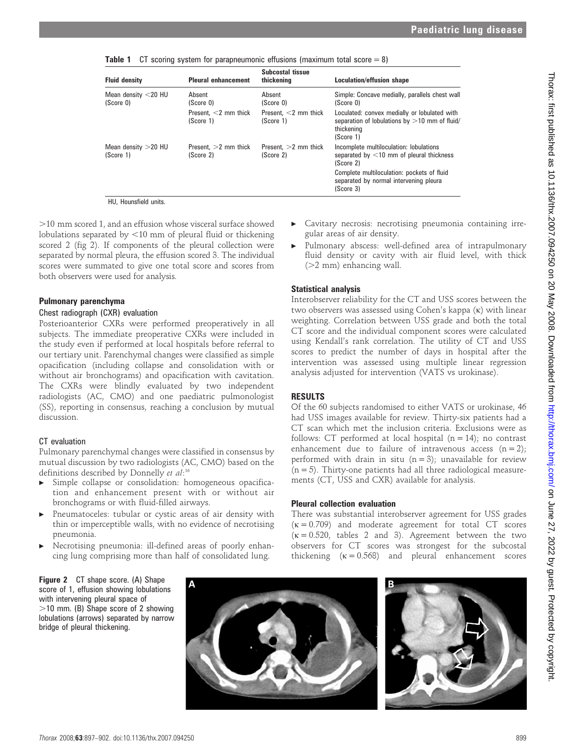**Table 1** CT scoring system for parapneumonic effusions (maximum total score  $= 8$ )

| <b>Fluid density</b>                | <b>Pleural enhancement</b>           | Subcostal tissue<br>thickening       | <b>Loculation/effusion shape</b>                                                                                           |
|-------------------------------------|--------------------------------------|--------------------------------------|----------------------------------------------------------------------------------------------------------------------------|
| Mean density $<$ 20 HU<br>(Score 0) | Absent<br>(Score 0)                  | Absent<br>(Score 0)                  | Simple: Concave medially, parallels chest wall<br>(Score 0)                                                                |
|                                     | Present. $<$ 2 mm thick<br>(Score 1) | Present. $<$ 2 mm thick<br>(Score 1) | Loculated: convex medially or lobulated with<br>separation of lobulations by $>10$ mm of fluid/<br>thickening<br>(Score 1) |
| Mean density $>$ 20 HU<br>(Score 1) | Present. $>2$ mm thick<br>(Score 2)  | Present. $>2$ mm thick<br>(Score 2)  | Incomplete multiloculation: lobulations<br>separated by $<$ 10 mm of pleural thickness<br>(Score 2)                        |
|                                     |                                      |                                      | Complete multiloculation: pockets of fluid<br>separated by normal intervening pleura<br>(Score 3)                          |

HU, Hounsfield units.

.10 mm scored 1, and an effusion whose visceral surface showed lobulations separated by  $<$ 10 mm of pleural fluid or thickening scored 2 (fig 2). If components of the pleural collection were separated by normal pleura, the effusion scored 3. The individual scores were summated to give one total score and scores from both observers were used for analysis.

#### Pulmonary parenchyma

#### Chest radiograph (CXR) evaluation

Posterioanterior CXRs were performed preoperatively in all subjects. The immediate preoperative CXRs were included in the study even if performed at local hospitals before referral to our tertiary unit. Parenchymal changes were classified as simple opacification (including collapse and consolidation with or without air bronchograms) and opacification with cavitation. The CXRs were blindly evaluated by two independent radiologists (AC, CMO) and one paediatric pulmonologist (SS), reporting in consensus, reaching a conclusion by mutual discussion.

# CT evaluation

Pulmonary parenchymal changes were classified in consensus by mutual discussion by two radiologists (AC, CMO) based on the definitions described by Donnelly et al:<sup>16</sup>

- Simple collapse or consolidation: homogeneous opacification and enhancement present with or without air bronchograms or with fluid-filled airways.
- Pneumatoceles: tubular or cystic areas of air density with thin or imperceptible walls, with no evidence of necrotising pneumonia.
- Necrotising pneumonia: ill-defined areas of poorly enhancing lung comprising more than half of consolidated lung.
- Cavitary necrosis: necrotising pneumonia containing irregular areas of air density.
- Pulmonary abscess: well-defined area of intrapulmonary fluid density or cavity with air fluid level, with thick  $(>2$  mm) enhancing wall.

# Statistical analysis

Interobserver reliability for the CT and USS scores between the two observers was assessed using Cohen's kappa (k) with linear weighting. Correlation between USS grade and both the total CT score and the individual component scores were calculated using Kendall's rank correlation. The utility of CT and USS scores to predict the number of days in hospital after the intervention was assessed using multiple linear regression analysis adjusted for intervention (VATS vs urokinase).

# RESULTS

Of the 60 subjects randomised to either VATS or urokinase, 46 had USS images available for review. Thirty-six patients had a CT scan which met the inclusion criteria. Exclusions were as follows: CT performed at local hospital  $(n = 14)$ ; no contrast enhancement due to failure of intravenous access  $(n = 2)$ ; performed with drain in situ  $(n = 3)$ ; unavailable for review  $(n = 5)$ . Thirty-one patients had all three radiological measurements (CT, USS and CXR) available for analysis.

# Pleural collection evaluation

There was substantial interobserver agreement for USS grades  $(\kappa = 0.709)$  and moderate agreement for total CT scores  $(\kappa = 0.520,$  tables 2 and 3). Agreement between the two observers for CT scores was strongest for the subcostal thickening  $(\kappa = 0.568)$  and pleural enhancement scores



bridge of pleural thickening.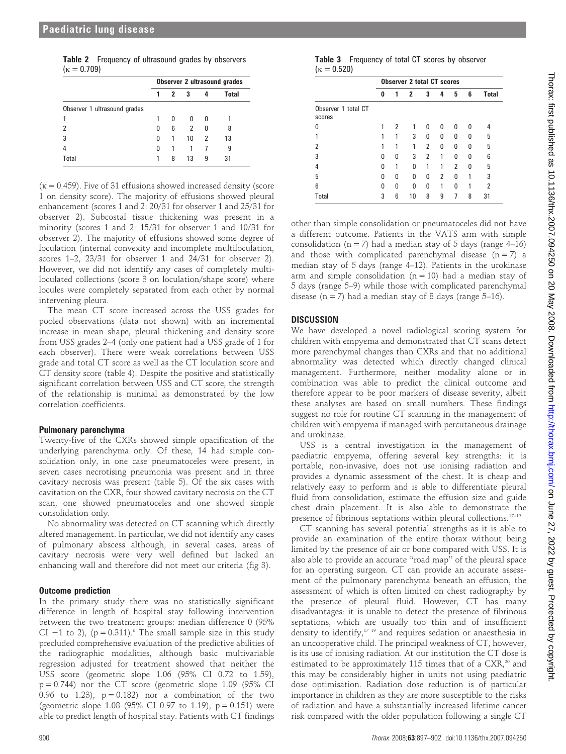|                 | <b>Table 2</b> Frequency of ultrasound grades by observers |
|-----------------|------------------------------------------------------------|
| $kappa = 0.709$ |                                                            |

|                              | <b>Observer 2 ultrasound grades</b> |                |     |   |       |
|------------------------------|-------------------------------------|----------------|-----|---|-------|
|                              |                                     | $\overline{2}$ | - 3 | 4 | Total |
| Observer 1 ultrasound grades |                                     |                |     |   |       |
|                              |                                     | <sub>0</sub>   | 0   | ŋ |       |
|                              | O                                   | 6              | 2   | 0 | 8     |
|                              | 0                                   | $\overline{1}$ | 10  | 2 | 13    |
|                              | 0                                   |                |     |   | 9     |
| Total                        |                                     | 8              | 13  | 9 | 31    |

 $(k = 0.459)$ . Five of 31 effusions showed increased density (score 1 on density score). The majority of effusions showed pleural enhancement (scores 1 and 2: 20/31 for observer 1 and 25/31 for observer 2). Subcostal tissue thickening was present in a minority (scores 1 and 2: 15/31 for observer 1 and 10/31 for observer 2). The majority of effusions showed some degree of loculation (internal convexity and incomplete multiloculation, scores 1–2, 23/31 for observer 1 and 24/31 for observer 2). However, we did not identify any cases of completely multiloculated collections (score 3 on loculation/shape score) where locules were completely separated from each other by normal intervening pleura.

The mean CT score increased across the USS grades for pooled observations (data not shown) with an incremental increase in mean shape, pleural thickening and density score from USS grades 2–4 (only one patient had a USS grade of 1 for each observer). There were weak correlations between USS grade and total CT score as well as the CT loculation score and CT density score (table 4). Despite the positive and statistically significant correlation between USS and CT score, the strength of the relationship is minimal as demonstrated by the low correlation coefficients.

# Pulmonary parenchyma

Twenty-five of the CXRs showed simple opacification of the underlying parenchyma only. Of these, 14 had simple consolidation only, in one case pneumatoceles were present, in seven cases necrotising pneumonia was present and in three cavitary necrosis was present (table 5). Of the six cases with cavitation on the CXR, four showed cavitary necrosis on the CT scan, one showed pneumatoceles and one showed simple consolidation only.

No abnormality was detected on CT scanning which directly altered management. In particular, we did not identify any cases of pulmonary abscess although, in several cases, areas of cavitary necrosis were very well defined but lacked an enhancing wall and therefore did not meet our criteria (fig 3).

# Outcome prediction

In the primary study there was no statistically significant difference in length of hospital stay following intervention between the two treatment groups: median difference 0 (95% CI -1 to 2), ( $p = 0.311$ ).<sup>6</sup> The small sample size in this study precluded comprehensive evaluation of the predictive abilities of the radiographic modalities, although basic multivariable regression adjusted for treatment showed that neither the USS score (geometric slope 1.06 (95% CI 0.72 to 1.59),  $p = 0.744$ ) nor the CT score (geometric slope 1.09 (95% CI 0.96 to 1.23),  $p = 0.182$  nor a combination of the two (geometric slope 1.08 (95% CI 0.97 to 1.19),  $p = 0.151$ ) were able to predict length of hospital stay. Patients with CT findings

|                  | <b>Table 3</b> Frequency of total CT scores by observer |  |  |  |
|------------------|---------------------------------------------------------|--|--|--|
| $\kappa = 0.520$ |                                                         |  |  |  |

|                               | <b>Observer 2 total CT scores</b> |   |              |              |              |   |   |              |
|-------------------------------|-----------------------------------|---|--------------|--------------|--------------|---|---|--------------|
|                               | 0                                 | 1 | $\mathbf{2}$ | 3            | 4            | 5 | 6 | <b>Total</b> |
| Observer 1 total CT<br>scores |                                   |   |              |              |              |   |   |              |
| N                             |                                   | 2 | 1            | 0            | <sup>0</sup> | 0 | n |              |
|                               |                                   | 1 | 3            | <sup>0</sup> | U            | U | ŋ | 5            |
| 2                             |                                   |   | 1            | 2            | 0            | 0 | ŋ | 5            |
| 3                             | U                                 | 0 | 3            | 2            |              | U | U | 6            |
| 4                             | N                                 | 1 | U            |              |              | 2 | U | 5            |
| 5                             | U                                 | ŋ | U            | 0            | 2            | ŋ |   | 3            |
| 6                             | n                                 | 0 | n            | n            |              | n |   | 2            |
| Total                         | 3                                 | 6 | 10           | 8            | 9            | 7 | 8 | 31           |

other than simple consolidation or pneumatoceles did not have a different outcome. Patients in the VATS arm with simple consolidation ( $n = 7$ ) had a median stay of 5 days (range 4–16) and those with complicated parenchymal disease  $(n = 7)$  a median stay of 5 days (range 4–12). Patients in the urokinase arm and simple consolidation  $(n = 10)$  had a median stay of 5 days (range 5–9) while those with complicated parenchymal disease ( $n = 7$ ) had a median stay of 8 days (range 5–16).

# **DISCUSSION**

We have developed a novel radiological scoring system for children with empyema and demonstrated that CT scans detect more parenchymal changes than CXRs and that no additional abnormality was detected which directly changed clinical management. Furthermore, neither modality alone or in combination was able to predict the clinical outcome and therefore appear to be poor markers of disease severity, albeit these analyses are based on small numbers. These findings suggest no role for routine CT scanning in the management of children with empyema if managed with percutaneous drainage and urokinase.

USS is a central investigation in the management of paediatric empyema, offering several key strengths: it is portable, non-invasive, does not use ionising radiation and provides a dynamic assessment of the chest. It is cheap and relatively easy to perform and is able to differentiate pleural fluid from consolidation, estimate the effusion size and guide chest drain placement. It is also able to demonstrate the presence of fibrinous septations within pleural collections.17–19

CT scanning has several potential strengths as it is able to provide an examination of the entire thorax without being limited by the presence of air or bone compared with USS. It is also able to provide an accurate ''road map'' of the pleural space for an operating surgeon. CT can provide an accurate assessment of the pulmonary parenchyma beneath an effusion, the assessment of which is often limited on chest radiography by the presence of pleural fluid. However, CT has many disadvantages: it is unable to detect the presence of fibrinous septations, which are usually too thin and of insufficient density to identify,<sup>17-19</sup> and requires sedation or anaesthesia in an uncooperative child. The principal weakness of CT, however, is its use of ionising radiation. At our institution the CT dose is estimated to be approximately 115 times that of a  $CXR$ ,<sup>20</sup> and this may be considerably higher in units not using paediatric dose optimisation. Radiation dose reduction is of particular importance in children as they are more susceptible to the risks of radiation and have a substantially increased lifetime cancer risk compared with the older population following a single CT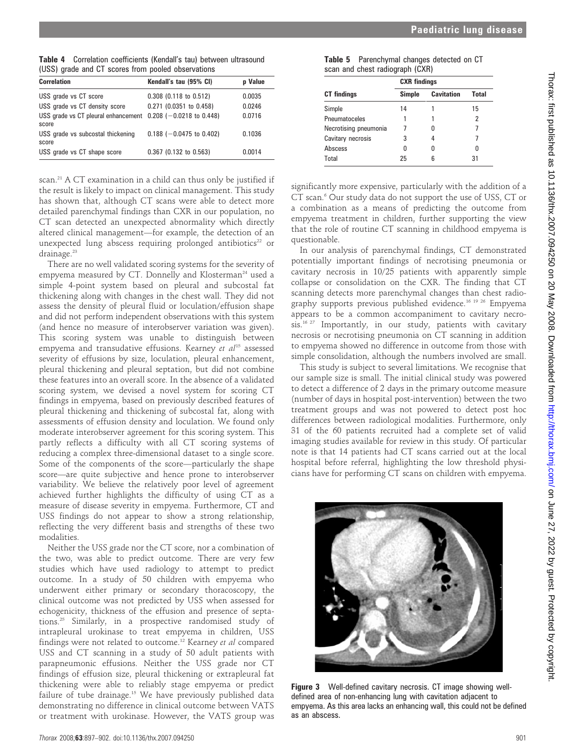Table 4 Correlation coefficients (Kendall's tau) between ultrasound (USS) grade and CT scores from pooled observations

| <b>Correlation</b>                                                         | Kendall's tau (95% CI)     | p Value |
|----------------------------------------------------------------------------|----------------------------|---------|
| USS grade vs CT score                                                      | $0.308$ (0.118 to 0.512)   | 0.0035  |
| USS grade vs CT density score                                              | 0.271 (0.0351 to 0.458)    | 0.0246  |
| USS grade vs CT pleural enhancement $0.208$ ( $-0.0218$ to 0.448)<br>score |                            | 0.0716  |
| USS grade vs subcostal thickening<br>score                                 | $0.188$ (-0.0475 to 0.402) | 0.1036  |
| USS grade vs CT shape score                                                | $0.367$ (0.132 to 0.563)   | 0.0014  |

scan.<sup>21</sup> A CT examination in a child can thus only be justified if the result is likely to impact on clinical management. This study has shown that, although CT scans were able to detect more detailed parenchymal findings than CXR in our population, no CT scan detected an unexpected abnormality which directly altered clinical management—for example, the detection of an unexpected lung abscess requiring prolonged antibiotics $22$  or drainage.<sup>23</sup>

There are no well validated scoring systems for the severity of empyema measured by CT. Donnelly and Klosterman<sup>24</sup> used a simple 4-point system based on pleural and subcostal fat thickening along with changes in the chest wall. They did not assess the density of pleural fluid or loculation/effusion shape and did not perform independent observations with this system (and hence no measure of interobserver variation was given). This scoring system was unable to distinguish between empyema and transudative effusions. Kearney et  $al^{15}$  assessed severity of effusions by size, loculation, pleural enhancement, pleural thickening and pleural septation, but did not combine these features into an overall score. In the absence of a validated scoring system, we devised a novel system for scoring CT findings in empyema, based on previously described features of pleural thickening and thickening of subcostal fat, along with assessments of effusion density and loculation. We found only moderate interobserver agreement for this scoring system. This partly reflects a difficulty with all CT scoring systems of reducing a complex three-dimensional dataset to a single score. Some of the components of the score—particularly the shape score—are quite subjective and hence prone to interobserver variability. We believe the relatively poor level of agreement achieved further highlights the difficulty of using CT as a measure of disease severity in empyema. Furthermore, CT and USS findings do not appear to show a strong relationship, reflecting the very different basis and strengths of these two modalities.

Neither the USS grade nor the CT score, nor a combination of the two, was able to predict outcome. There are very few studies which have used radiology to attempt to predict outcome. In a study of 50 children with empyema who underwent either primary or secondary thoracoscopy, the clinical outcome was not predicted by USS when assessed for echogenicity, thickness of the effusion and presence of septations.25 Similarly, in a prospective randomised study of intrapleural urokinase to treat empyema in children, USS findings were not related to outcome.<sup>12</sup> Kearney et al compared USS and CT scanning in a study of 50 adult patients with parapneumonic effusions. Neither the USS grade nor CT findings of effusion size, pleural thickening or extrapleural fat thickening were able to reliably stage empyema or predict failure of tube drainage.15 We have previously published data demonstrating no difference in clinical outcome between VATS or treatment with urokinase. However, the VATS group was

| Table 5 Parenchymal changes detected on CT |  |  |
|--------------------------------------------|--|--|
| scan and chest radiograph (CXR)            |  |  |

|                       | <b>CXR</b> findings |                   |              |  |  |  |
|-----------------------|---------------------|-------------------|--------------|--|--|--|
| <b>CT</b> findings    | Simple              | <b>Cavitation</b> | <b>Total</b> |  |  |  |
| Simple                | 14                  |                   | 15           |  |  |  |
| Pneumatoceles         | 1                   |                   | 2            |  |  |  |
| Necrotising pneumonia |                     |                   |              |  |  |  |
| Cavitary necrosis     | 3                   |                   |              |  |  |  |
| Abscess               | n                   | n                 |              |  |  |  |
| Total                 | 25                  | ĥ                 | 31           |  |  |  |

significantly more expensive, particularly with the addition of a CT scan.<sup>6</sup> Our study data do not support the use of USS, CT or a combination as a means of predicting the outcome from empyema treatment in children, further supporting the view that the role of routine CT scanning in childhood empyema is questionable.

In our analysis of parenchymal findings, CT demonstrated potentially important findings of necrotising pneumonia or cavitary necrosis in 10/25 patients with apparently simple collapse or consolidation on the CXR. The finding that CT scanning detects more parenchymal changes than chest radiography supports previous published evidence.16 19 26 Empyema appears to be a common accompaniment to cavitary necrosis.<sup>16 27</sup> Importantly, in our study, patients with cavitary necrosis or necrotising pneumonia on CT scanning in addition to empyema showed no difference in outcome from those with simple consolidation, although the numbers involved are small.

This study is subject to several limitations. We recognise that our sample size is small. The initial clinical study was powered to detect a difference of 2 days in the primary outcome measure (number of days in hospital post-intervention) between the two treatment groups and was not powered to detect post hoc differences between radiological modalities. Furthermore, only 31 of the 60 patients recruited had a complete set of valid imaging studies available for review in this study. Of particular note is that 14 patients had CT scans carried out at the local hospital before referral, highlighting the low threshold physicians have for performing CT scans on children with empyema.

**Figure 3** Well-defined cavitary necrosis. CT image showing welldefined area of non-enhancing lung with cavitation adjacent to empyema. As this area lacks an enhancing wall, this could not be defined as an abscess.